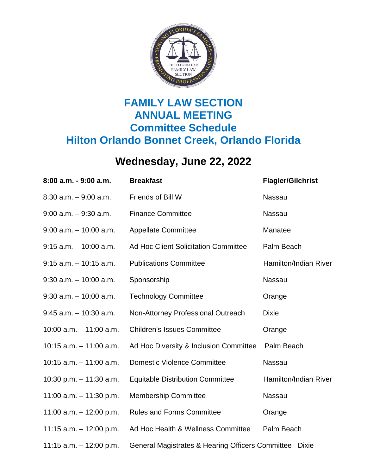

## **FAMILY LAW SECTION ANNUAL MEETING Committee Schedule Hilton Orlando Bonnet Creek, Orlando Florida**

## **Wednesday, June 22, 2022**

| 8:00 a.m. - 9:00 a.m.      | <b>Breakfast</b>                                                 | <b>Flagler/Gilchrist</b> |
|----------------------------|------------------------------------------------------------------|--------------------------|
| $8:30$ a.m. $-9:00$ a.m.   | Friends of Bill W                                                | Nassau                   |
| $9:00$ a.m. $-9:30$ a.m.   | <b>Finance Committee</b>                                         | <b>Nassau</b>            |
| $9:00$ a.m. $-10:00$ a.m.  | <b>Appellate Committee</b>                                       | Manatee                  |
| $9:15$ a.m. $-10:00$ a.m.  | <b>Ad Hoc Client Solicitation Committee</b>                      | Palm Beach               |
| $9:15$ a.m. $-10:15$ a.m.  | <b>Publications Committee</b>                                    | Hamilton/Indian River    |
| $9:30$ a.m. $-10:00$ a.m.  | Sponsorship                                                      | Nassau                   |
| $9:30$ a.m. $-10:00$ a.m.  | <b>Technology Committee</b>                                      | Orange                   |
| $9:45$ a.m. $-10:30$ a.m.  | Non-Attorney Professional Outreach                               | <b>Dixie</b>             |
| 10:00 $a.m. - 11:00 a.m.$  | <b>Children's Issues Committee</b>                               | Orange                   |
| $10:15$ a.m. $-11:00$ a.m. | Ad Hoc Diversity & Inclusion Committee                           | Palm Beach               |
| $10:15$ a.m. $-11:00$ a.m. | <b>Domestic Violence Committee</b>                               | Nassau                   |
| 10:30 p.m. $-$ 11:30 a.m.  | <b>Equitable Distribution Committee</b>                          | Hamilton/Indian River    |
| 11:00 a.m. $-$ 11:30 p.m.  | <b>Membership Committee</b>                                      | Nassau                   |
| 11:00 a.m. $-$ 12:00 p.m.  | <b>Rules and Forms Committee</b>                                 | Orange                   |
| 11:15 a.m. $-$ 12:00 p.m.  | Ad Hoc Health & Wellness Committee                               | Palm Beach               |
| 11:15 a.m. $-$ 12:00 p.m.  | General Magistrates & Hearing Officers Committee<br><b>Dixie</b> |                          |